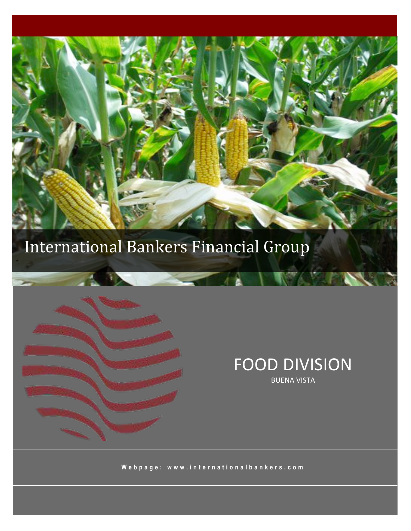

### International Bankers Financial Group



#### **FOOD DIVISION BUENA VISTA**

Webpage: www.internationalbankers.com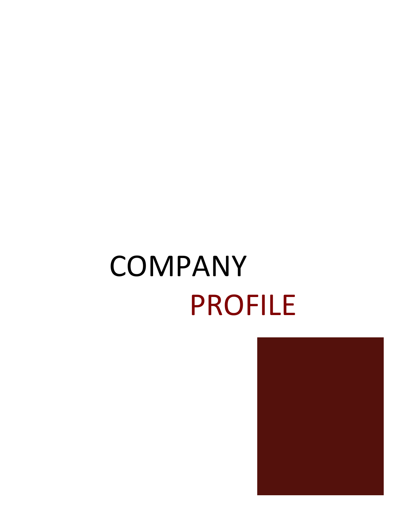# COMPANY **PROFILE**

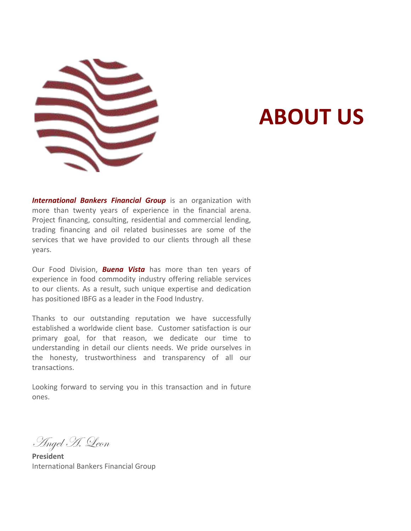

### **ABOUT US**

International Bankers Financial Group is an organization with more than twenty years of experience in the financial arena. Project financing, consulting, residential and commercial lending, trading financing and oil related businesses are some of the services that we have provided to our clients through all these years.

Our Food Division, **Buena Vista** has more than ten years of experience in food commodity industry offering reliable services to our clients. As a result, such unique expertise and dedication has positioned IBFG as a leader in the Food Industry.

Thanks to our outstanding reputation we have successfully established a worldwide client base. Customer satisfaction is our primary goal, for that reason, we dedicate our time to understanding in detail our clients needs. We pride ourselves in the honesty, trustworthiness and transparency of all our transactions.

Looking forward to serving you in this transaction and in future ones.

Angel H. Leon

**President** International Bankers Financial Group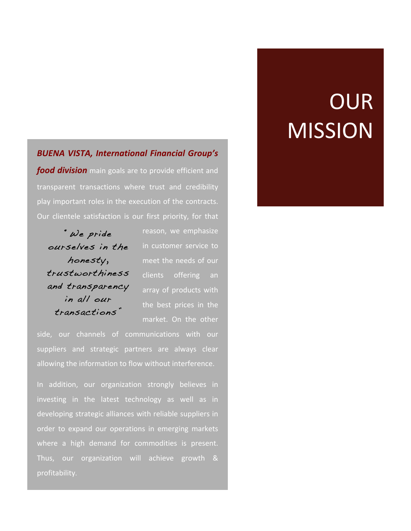#### **BUENA VISTA, International Financial Group's**

food division main goals are to provide efficient and transparent transactions where trust and credibility play important roles in the execution of the contracts. Our clientele satisfaction is our first priority, for that

" We pride ourselves in the honesty, trustworthiness and transparency in all our transactions

reason, we emphasize in customer service to meet the needs of our clients offering an array of products with the best prices in the market. On the other

side, our channels of communications with our suppliers and strategic partners are always clear allowing the information to flow without interference.

In addition, our organization strongly believes in investing in the latest technology as well as in developing strategic alliances with reliable suppliers in order to expand our operations in emerging markets where a high demand for commodities is present. Thus, our organization will achieve growth & profitability.

### OUR **MISSION**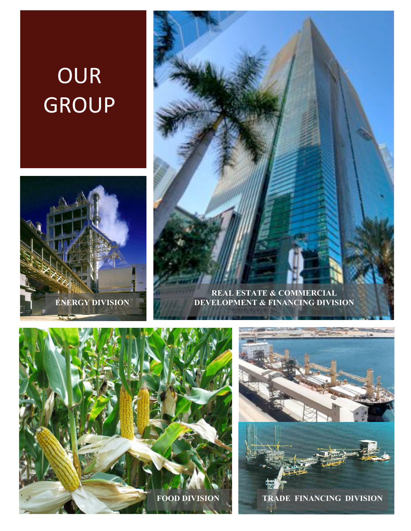### OUR **GROUP**









TRADE FINANCING DIVISION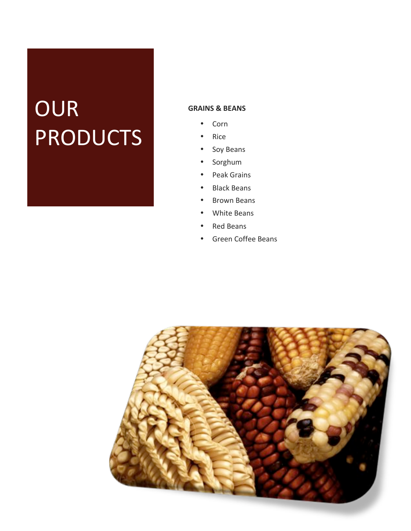### OUR **PRODUCTS**

#### **GRAINS & BEANS**

- Corn  $\bullet$
- Rice
- Soy Beans  $\bullet$
- · Sorghum
- Peak Grains
- Black Beans
- **Brown Beans**
- White Beans
- Red Beans
- Green Coffee Beans  $\bullet$

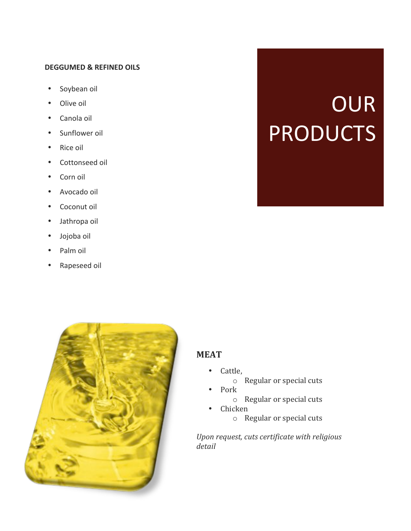#### **DEGGUMED & REFINED OILS**

- Soybean oil  $\bullet$
- Olive oil  $\bullet$
- Canola oil  $\bullet$
- Sunflower oil
- Rice oil  $\bullet$
- Cottonseed oil  $\bullet$
- Corn oil  $\bullet$
- Avocado oil
- Coconut oil
- Jathropa oil  $\bullet$
- Jojoba oil
- Palm oil
- Rapeseed oil



#### **MEAT**

- Cattle,
	- o Regular or special cuts
- Pork
	- o Regular or special cuts
- Chicken
	- o Regular or special cuts

Upon request, cuts certificate with religious detail

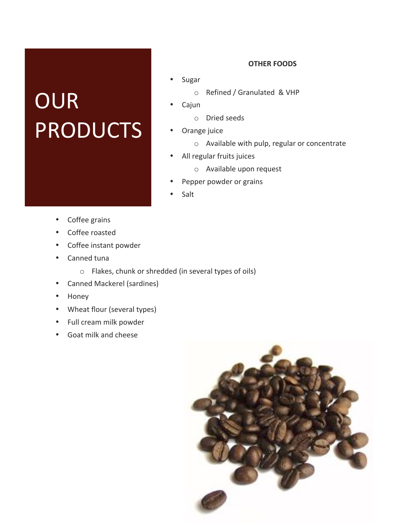### OUR **PRODUCTS**

#### **OTHER FOODS**

- Sugar
	- o Refined / Granulated & VHP
- Cajun
	- o Dried seeds
- Orange juice
	- o Available with pulp, regular or concentrate
- All regular fruits juices  $\bullet$ 
	- o Available upon request
- Pepper powder or grains
- Salt

- Coffee grains  $\bullet$
- Coffee roasted
- Coffee instant powder
- Canned tuna
	- o Flakes, chunk or shredded (in several types of oils)
- **Canned Mackerel (sardines)**  $\bullet$
- $\bullet$  . Honey
- $\bullet$ Wheat flour (several types)
- Full cream milk powder  $\bullet$
- Goat milk and cheese